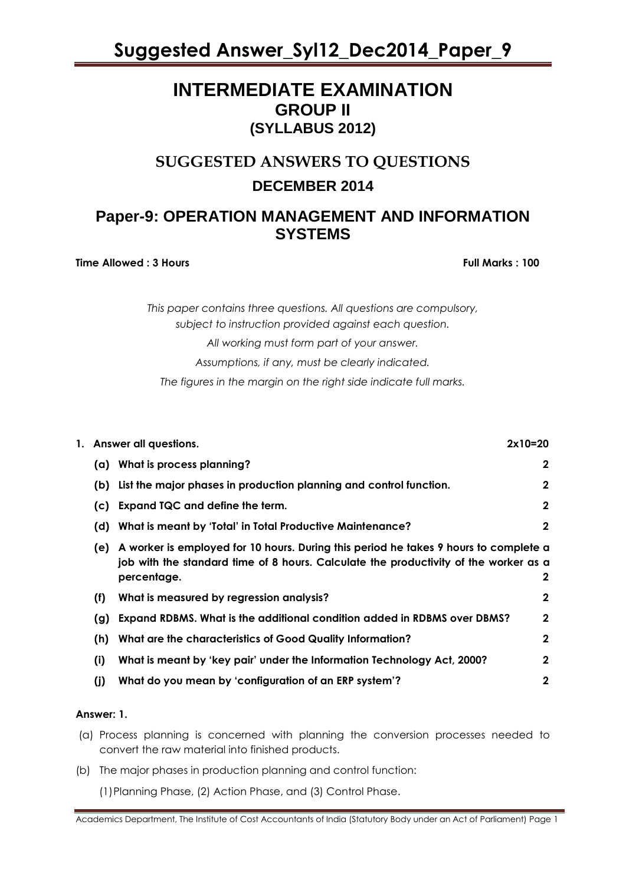### **INTERMEDIATE EXAMINATION GROUP II (SYLLABUS 2012)**

# **SUGGESTED ANSWERS TO QUESTIONS DECEMBER 2014**

### **Paper-9: OPERATION MANAGEMENT AND INFORMATION SYSTEMS**

**Time Allowed : 3 Hours Full Marks Full Marks : 100** 

*This paper contains three questions. All questions are compulsory, subject to instruction provided against each question. All working must form part of your answer. Assumptions, if any, must be clearly indicated. The figures in the margin on the right side indicate full marks.*

| 1. Answer all questions.<br>$2x10=20$ |                                                                                                                                                                                             |             |  |  |  |
|---------------------------------------|---------------------------------------------------------------------------------------------------------------------------------------------------------------------------------------------|-------------|--|--|--|
| (a)                                   | What is process planning?                                                                                                                                                                   | $\mathbf 2$ |  |  |  |
| (b)                                   | List the major phases in production planning and control function.                                                                                                                          | $\mathbf 2$ |  |  |  |
| (c)                                   | Expand TQC and define the term.                                                                                                                                                             | $\mathbf 2$ |  |  |  |
| (d)                                   | What is meant by 'Total' in Total Productive Maintenance?                                                                                                                                   | $\mathbf 2$ |  |  |  |
| (e)                                   | A worker is employed for 10 hours. During this period he takes 9 hours to complete a<br>job with the standard time of 8 hours. Calculate the productivity of the worker as a<br>percentage. | 2           |  |  |  |
| (f)                                   | What is measured by regression analysis?                                                                                                                                                    | $\mathbf 2$ |  |  |  |
| (g)                                   | Expand RDBMS. What is the additional condition added in RDBMS over DBMS?                                                                                                                    | $\mathbf 2$ |  |  |  |
| (h)                                   | What are the characteristics of Good Quality Information?                                                                                                                                   | $\mathbf 2$ |  |  |  |
| (i)                                   | What is meant by 'key pair' under the Information Technology Act, 2000?                                                                                                                     | $\mathbf 2$ |  |  |  |
| (i)                                   | What do you mean by 'configuration of an ERP system'?                                                                                                                                       | $\mathbf 2$ |  |  |  |

#### **Answer: 1.**

- (a) Process planning is concerned with planning the conversion processes needed to convert the raw material into finished products.
- (b) The major phases in production planning and control function:

(1)Planning Phase, (2) Action Phase, and (3) Control Phase.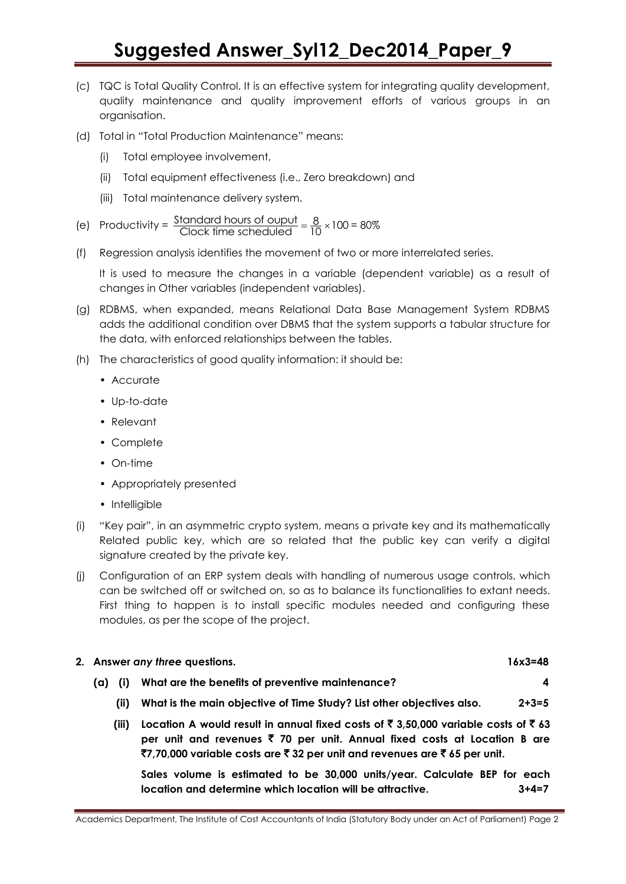- (c) TQC is Total Quality Control. It is an effective system for integrating quality development, quality maintenance and quality improvement efforts of various groups in an organisation.
- (d) Total in "Total Production Maintenance" means:
	- (i) Total employee involvement,
	- (ii) Total equipment effectiveness (i.e., Zero breakdown) and
	- (iii) Total maintenance delivery system.

(e) Productivity = Standard hours of ouput  $\frac{8}{10} \times 100$ <br>Clock time scheduled  $\frac{8}{10} \times 100$ = 80%

(f) Regression analysis identifies the movement of two or more interrelated series.

It is used to measure the changes in a variable (dependent variable) as a result of changes in Other variables (independent variables).

- (g) RDBMS, when expanded, means Relational Data Base Management System RDBMS adds the additional condition over DBMS that the system supports a tabular structure for the data, with enforced relationships between the tables.
- (h) The characteristics of good quality information: it should be:
	- Accurate
	- Up-to-date
	- Relevant
	- Complete
	- On-time
	- Appropriately presented
	- Intelligible
- (i) "Key pair", in an asymmetric crypto system, means a private key and its mathematically Related public key, which are so related that the public key can verify a digital signature created by the private key.
- (j) Configuration of an ERP system deals with handling of numerous usage controls, which can be switched off or switched on, so as to balance its functionalities to extant needs. First thing to happen is to install specific modules needed and configuring these modules, as per the scope of the project.

### **2. Answer** *any three* **questions. 16x3=48**

- **(a) (i) What are the benefits of preventive maintenance? 4**
	- **(ii) What is the main objective of Time Study? List other objectives also. 2+3=5**
	- **(iii) Location A would result in annual fixed costs of** ` **3,50,000 variable costs of** ` **63 per unit and revenues** ` **70 per unit. Annual fixed costs at Location B are**  `**7,70,000 variable costs are** ` **32 per unit and revenues are** ` **65 per unit.**

**Sales volume is estimated to be 30,000 units/year. Calculate BEP for each location and determine which location will be attractive. 3+4=7**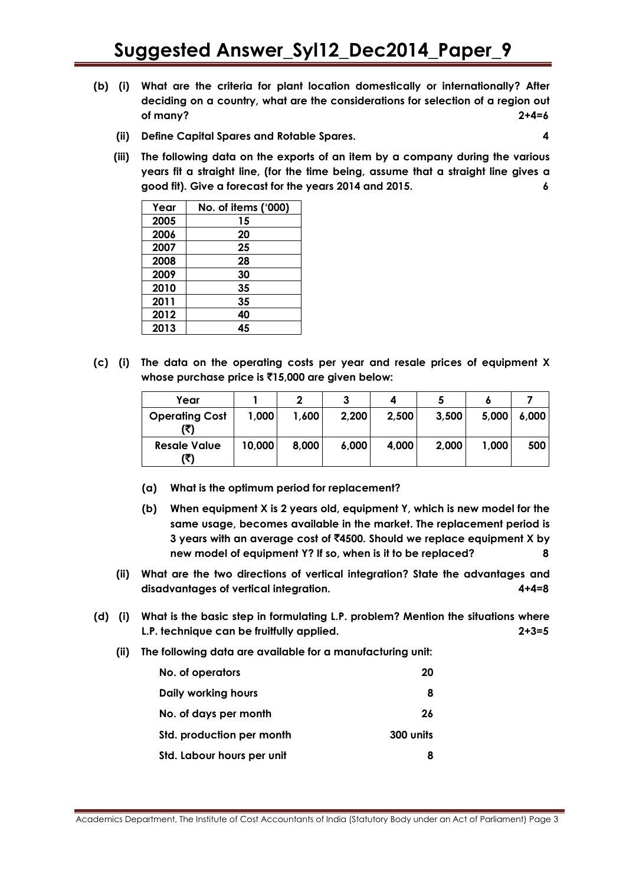- **(b) (i) What are the criteria for plant location domestically or internationally? After deciding on a country, what are the considerations for selection of a region out of many? 2+4=6**
	- **(ii) Define Capital Spares and Rotable Spares. 4**

**(iii) The following data on the exports of an item by a company during the various years fit a straight line, (for the time being, assume that a straight line gives a good fit). Give a forecast for the years 2014 and 2015. 6**

| Year | No. of items ('000) |
|------|---------------------|
| 2005 | 15                  |
| 2006 | 20                  |
| 2007 | 25                  |
| 2008 | 28                  |
| 2009 | 30                  |
| 2010 | 35                  |
| 2011 | 35                  |
| 2012 | 40                  |
| 2013 | 45                  |

**(c) (i) The data on the operating costs per year and resale prices of equipment X whose purchase price is** `**15,000 are given below:**

| Year                         |        |       |       | 4     |       |       |       |
|------------------------------|--------|-------|-------|-------|-------|-------|-------|
| <b>Operating Cost</b><br>(₹) | 1,000  | 1,600 | 2,200 | 2,500 | 3,500 | 5,000 | 6,000 |
| <b>Resale Value</b><br>(₹)   | 10,000 | 8,000 | 6,000 | 4,000 | 2,000 | 1,000 | 500   |

- **(a) What is the optimum period for replacement?**
- **(b) When equipment X is 2 years old, equipment Y, which is new model for the same usage, becomes available in the market. The replacement period is 3 years with an average cost of** `**4500. Should we replace equipment X by new model of equipment Y? If so, when is it to be replaced? 8**
- **(ii) What are the two directions of vertical integration? State the advantages and disadvantages of vertical integration. 4+4=8**
- **(d) (i) What is the basic step in formulating L.P. problem? Mention the situations where L.P. technique can be fruitfully applied. 2+3=5**
	- **(ii) The following data are available for a manufacturing unit:**

| No. of operators           | 20        |
|----------------------------|-----------|
| Daily working hours        | 8         |
| No. of days per month      | 26        |
| Std. production per month  | 300 units |
| Std. Labour hours per unit |           |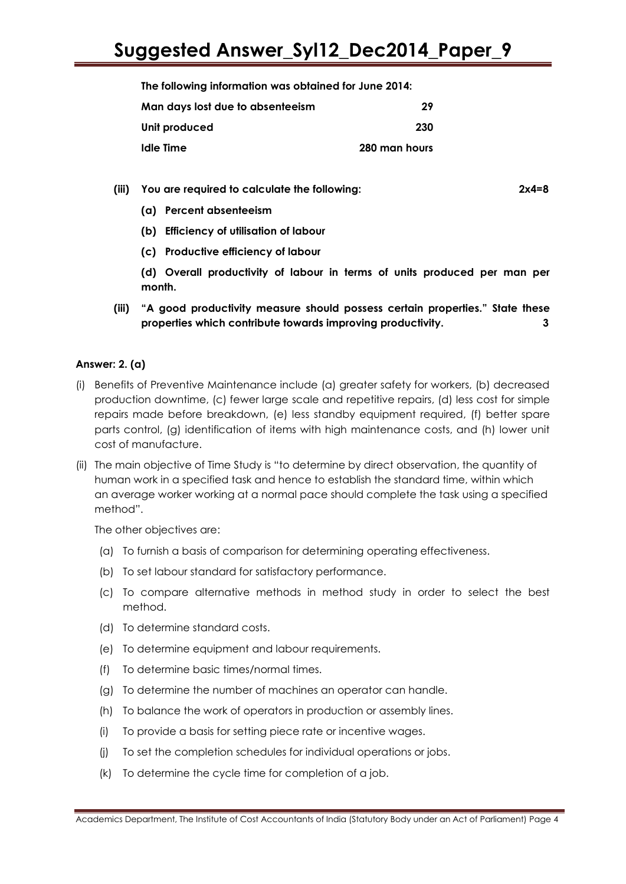**The following information was obtained for June 2014:** 

| Man days lost due to absenteeism | 29            |
|----------------------------------|---------------|
| Unit produced                    | 230           |
| Idle Time                        | 280 man hours |

**(iii) You are required to calculate the following: 2x4=8**

- **(a) Percent absenteeism**
- **(b) Efficiency of utilisation of labour**
- **(c) Productive efficiency of labour**

**(d) Overall productivity of labour in terms of units produced per man per month.**

**(iii) "A good productivity measure should possess certain properties." State these properties which contribute towards improving productivity. 3**

#### **Answer: 2. (a)**

- (i) Benefits of Preventive Maintenance include (a) greater safety for workers, (b) decreased production downtime, (c) fewer large scale and repetitive repairs, (d) less cost for simple repairs made before breakdown, (e) less standby equipment required, (f) better spare parts control, (g) identification of items with high maintenance costs, and (h) lower unit cost of manufacture.
- (ii) The main objective of Time Study is "to determine by direct observation, the quantity of human work in a specified task and hence to establish the standard time, within which an average worker working at a normal pace should complete the task using a specified method".

The other objectives are:

- (a) To furnish a basis of comparison for determining operating effectiveness.
- (b) To set labour standard for satisfactory performance.
- (c) To compare alternative methods in method study in order to select the best method.
- (d) To determine standard costs.
- (e) To determine equipment and labour requirements.
- (f) To determine basic times/normal times.
- (g) To determine the number of machines an operator can handle.
- (h) To balance the work of operators in production or assembly lines.
- (i) To provide a basis for setting piece rate or incentive wages.
- (j) To set the completion schedules for individual operations or jobs.
- (k) To determine the cycle time for completion of a job.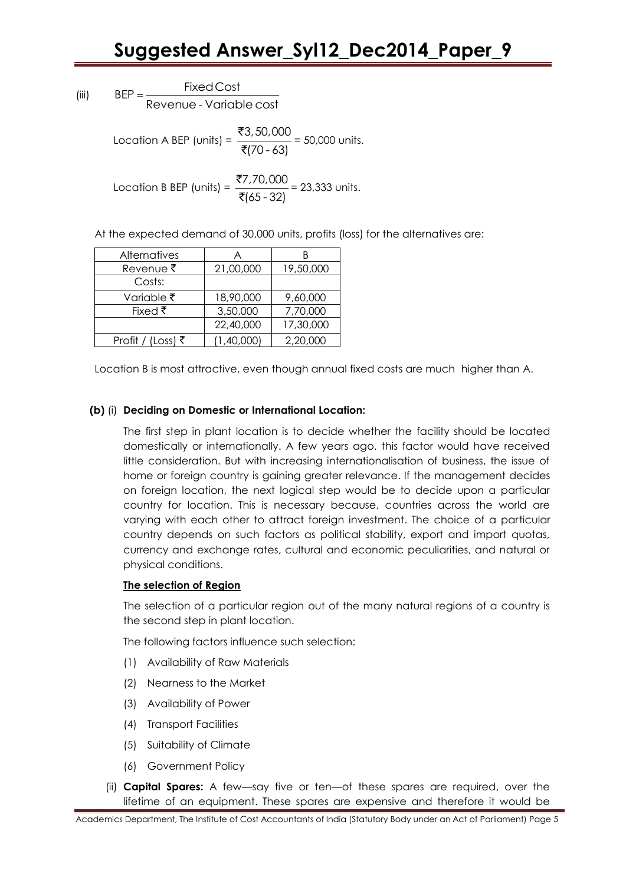(iii)  $BFP = -$ Fixed Cost<br>Revenue - Variable cost

> Location A BEP (units) =  $\frac{23,50,000}{...}$ (70 - 63) ₹ ₹ = 50,000 units.

> Location B BEP (units) =  $\frac{$7,70,000}{\sqrt{25}}$ (65 - 32) ₹ ₹ = 23,333 units.

At the expected demand of 30,000 units, profits (loss) for the alternatives are:

| <b>Alternatives</b> | Α          | R         |
|---------------------|------------|-----------|
| Revenue₹            | 21,00,000  | 19,50,000 |
| Costs:              |            |           |
| Variable ₹          | 18,90,000  | 9,60,000  |
| Fixed $\bar{\tau}$  | 3,50,000   | 7,70,000  |
|                     | 22,40,000  | 17,30,000 |
| Profit / (Loss) ₹   | (1,40,000) | 2,20,000  |

Location B is most attractive, even though annual fixed costs are much higher than A.

#### **(b)** (i) **Deciding on Domestic or International Location:**

The first step in plant location is to decide whether the facility should be located domestically or internationally. A few years ago, this factor would have received little consideration. But with increasing internationalisation of business, the issue of home or foreign country is gaining greater relevance. If the management decides on foreign location, the next logical step would be to decide upon a particular country for location. This is necessary because, countries across the world are varying with each other to attract foreign investment. The choice of a particular country depends on such factors as political stability, export and import quotas, currency and exchange rates, cultural and economic peculiarities, and natural or physical conditions.

#### **The selection of Region**

The selection of a particular region out of the many natural regions of a country is the second step in plant location.

The following factors influence such selection:

- (1) Availability of Raw Materials
- (2) Nearness to the Market
- (3) Availability of Power
- (4) Transport Facilities
- (5) Suitability of Climate
- (6) Government Policy
- (ii) **Capital Spares:** A few—say five or ten—of these spares are required, over the lifetime of an equipment. These spares are expensive and therefore it would be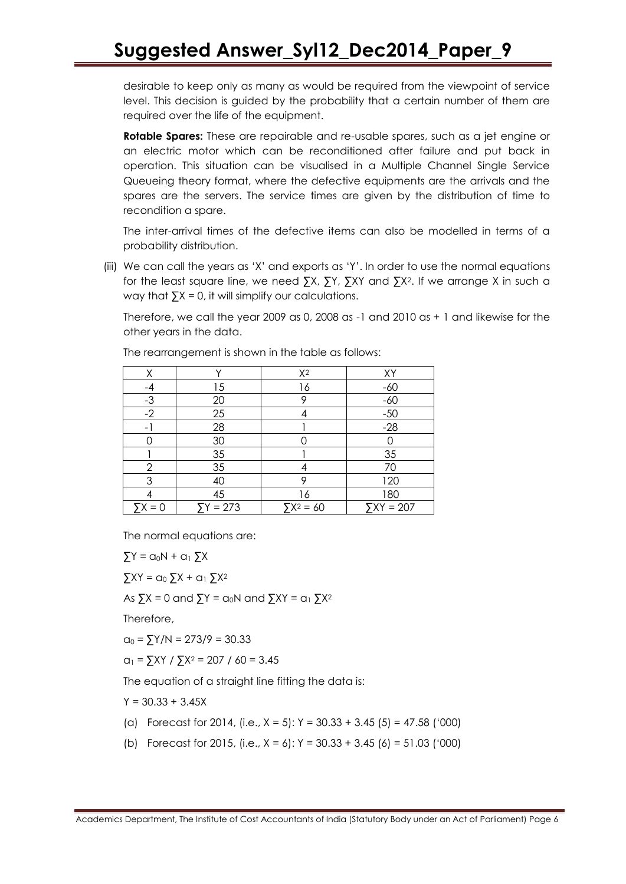desirable to keep only as many as would be required from the viewpoint of service level. This decision is guided by the probability that a certain number of them are required over the life of the equipment.

**Rotable Spares:** These are repairable and re-usable spares, such as a jet engine or an electric motor which can be reconditioned after failure and put back in operation. This situation can be visualised in a Multiple Channel Single Service Queueing theory format, where the defective equipments are the arrivals and the spares are the servers. The service times are given by the distribution of time to recondition a spare.

The inter-arrival times of the defective items can also be modelled in terms of a probability distribution.

(iii) We can call the years as 'X' and exports as 'Y'. In order to use the normal equations for the least square line, we need ∑X, ∑Y, ∑XY and ∑X2. If we arrange X in such a way that  $\sum X = 0$ , it will simplify our calculations.

Therefore, we call the year 2009 as 0, 2008 as -1 and 2010 as + 1 and likewise for the other years in the data.

| Χ                        | $\checkmark$ | $X^2$             | XY          |
|--------------------------|--------------|-------------------|-------------|
| -4                       | 15           | 16                | $-60$       |
| $-3$                     | 20           | 9                 | $-60$       |
| $-2$                     | 25           |                   | $-50$       |
| $\overline{\phantom{a}}$ | 28           |                   | $-28$       |
|                          | 30           |                   |             |
|                          | 35           |                   | 35          |
| $\overline{2}$           | 35           |                   | 70          |
| 3                        | 40           | o                 | 120         |
|                          | 45           | 16                | 180         |
| $\Sigma X = 0$           | $5Y = 273$   | $\Sigma X^2 = 60$ | $YXY = 207$ |

The rearrangement is shown in the table as follows:

The normal equations are:

 $\sum Y = \alpha_0 N + \alpha_1 \sum X$  $\sum XY = Q_0 \sum X + Q_1 \sum X^2$ 

As  $\Sigma X = 0$  and  $\Sigma Y = \alpha_0 N$  and  $\Sigma XY = \alpha_1 \Sigma X^2$ 

Therefore,

 $q_0 = \frac{5Y}{N} = \frac{273}{9} = 30.33$ 

 $a_1 = \sum XY / \sum X^2 = 207 / 60 = 3.45$ 

The equation of a straight line fitting the data is:

 $Y = 30.33 + 3.45X$ 

- (a) Forecast for 2014, (i.e.,  $X = 5$ ):  $Y = 30.33 + 3.45$  (5) = 47.58 ('000)
- (b) Forecast for 2015, (i.e.,  $X = 6$ ):  $Y = 30.33 + 3.45$  (6) = 51.03 ('000)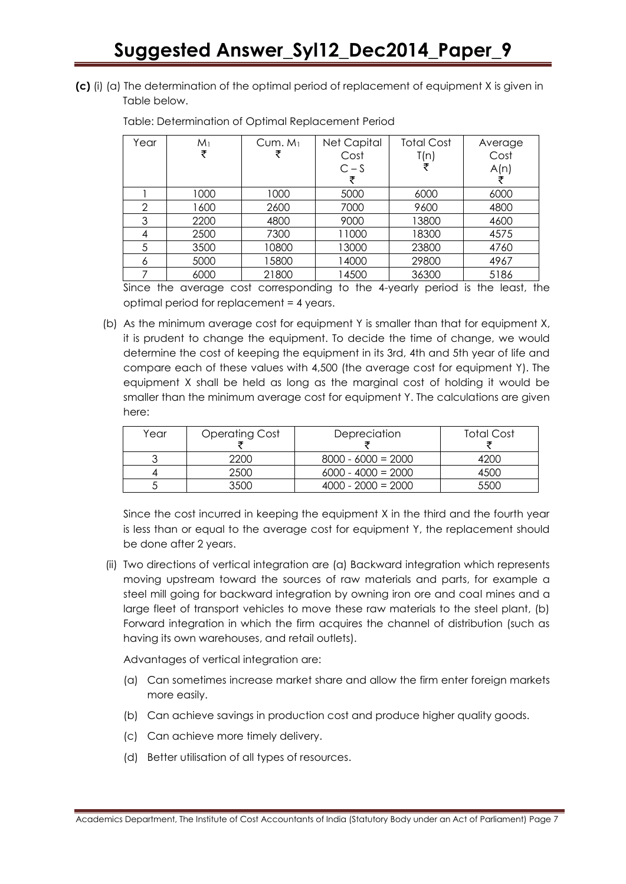**(c)** (i) (a) The determination of the optimal period of replacement of equipment X is given in Table below.

| Year | M <sub>1</sub> | Cum. $M_1$ | Net Capital | <b>Total Cost</b> | Average |
|------|----------------|------------|-------------|-------------------|---------|
|      | ₹              |            | Cost        | T(n)              | Cost    |
|      |                |            | $C-S$       |                   | A(n)    |
|      |                |            |             |                   |         |
|      | 1000           | 1000       | 5000        | 6000              | 6000    |
| 2    | 1600           | 2600       | 7000        | 9600              | 4800    |
| 3    | 2200           | 4800       | 9000        | 13800             | 4600    |
| 4    | 2500           | 7300       | 11000       | 18300             | 4575    |
| 5    | 3500           | 10800      | 13000       | 23800             | 4760    |
| 6    | 5000           | 15800      | 14000       | 29800             | 4967    |
|      | 6000           | 21800      | 14500       | 36300             | 5186    |

Table: Determination of Optimal Replacement Period

Since the average cost corresponding to the 4-yearly period is the least, the optimal period for replacement = 4 years.

(b) As the minimum average cost for equipment Y is smaller than that for equipment X, it is prudent to change the equipment. To decide the time of change, we would determine the cost of keeping the equipment in its 3rd, 4th and 5th year of life and compare each of these values with 4,500 (the average cost for equipment Y). The equipment X shall be held as long as the marginal cost of holding it would be smaller than the minimum average cost for equipment Y. The calculations are given here:

| Year | <b>Operating Cost</b> | Depreciation         | Total Cost |
|------|-----------------------|----------------------|------------|
|      | 2200                  | $8000 - 6000 = 2000$ | 4200       |
|      | 2500                  | $6000 - 4000 = 2000$ | 4500       |
|      | 3500                  | $4000 - 2000 = 2000$ | 5500       |

Since the cost incurred in keeping the equipment X in the third and the fourth year is less than or equal to the average cost for equipment Y, the replacement should be done after 2 years.

(ii) Two directions of vertical integration are (a) Backward integration which represents moving upstream toward the sources of raw materials and parts, for example a steel mill going for backward integration by owning iron ore and coal mines and a large fleet of transport vehicles to move these raw materials to the steel plant, (b) Forward integration in which the firm acquires the channel of distribution (such as having its own warehouses, and retail outlets).

Advantages of vertical integration are:

- (a) Can sometimes increase market share and allow the firm enter foreign markets more easily.
- (b) Can achieve savings in production cost and produce higher quality goods.
- (c) Can achieve more timely delivery.
- (d) Better utilisation of all types of resources.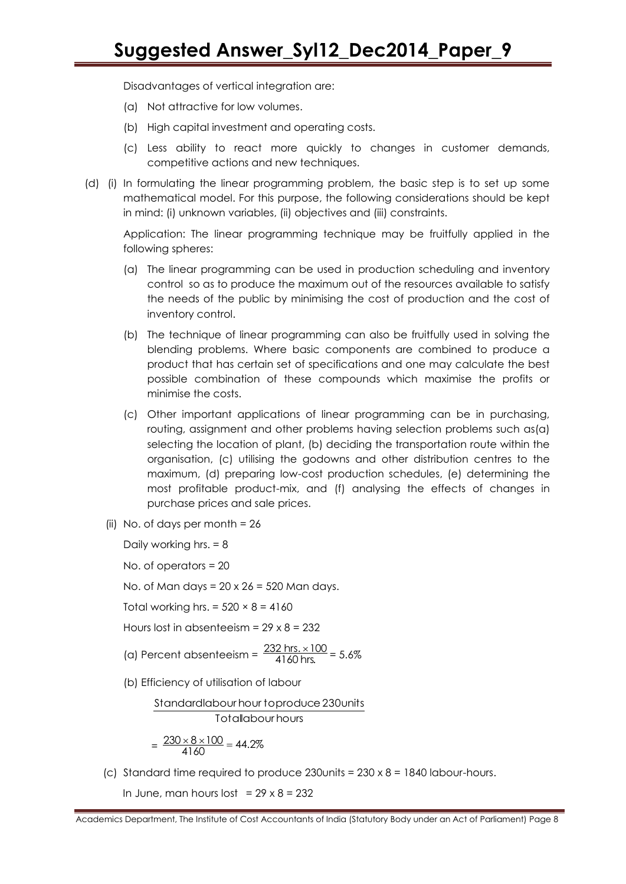Disadvantages of vertical integration are:

- (a) Not attractive for low volumes.
- (b) High capital investment and operating costs.
- (c) Less ability to react more quickly to changes in customer demands, competitive actions and new techniques.
- (d) (i) In formulating the linear programming problem, the basic step is to set up some mathematical model. For this purpose, the following considerations should be kept in mind: (i) unknown variables, (ii) objectives and (iii) constraints.

Application: The linear programming technique may be fruitfully applied in the following spheres:

- (a) The linear programming can be used in production scheduling and inventory control so as to produce the maximum out of the resources available to satisfy the needs of the public by minimising the cost of production and the cost of inventory control.
- (b) The technique of linear programming can also be fruitfully used in solving the blending problems. Where basic components are combined to produce a product that has certain set of specifications and one may calculate the best possible combination of these compounds which maximise the profits or minimise the costs.
- (c) Other important applications of linear programming can be in purchasing, routing, assignment and other problems having selection problems such as(a) selecting the location of plant, (b) deciding the transportation route within the organisation, (c) utilising the godowns and other distribution centres to the maximum, (d) preparing low-cost production schedules, (e) determining the most profitable product-mix, and (f) analysing the effects of changes in purchase prices and sale prices.
- (ii) No. of days per month = 26

Daily working hrs. = 8

No. of operators = 20

No. of Man days = 20 x 26 = 520 Man days.

Total working hrs. =  $520 \times 8 = 4160$ 

Hours lost in absenteeism =  $29 \times 8 = 232$ 

(a) Percent absenteeism =  $\frac{232 \text{ hrs.} \times 100}{4160 \text{ hrs}}$ 4160 hrs.  $\frac{\times 100}{\text{c}} = 5.6\%$ 

(b) Efficiency of utilisation of labour

Totallabour hours Standardlabour hour toproduce 230 units

$$
=\frac{230\times8\times100}{4160}=44.2\%
$$

(c) Standard time required to produce  $230$ units =  $230 \times 8 = 1840$  labour-hours.

In June, man hours lost =  $29 \times 8 = 232$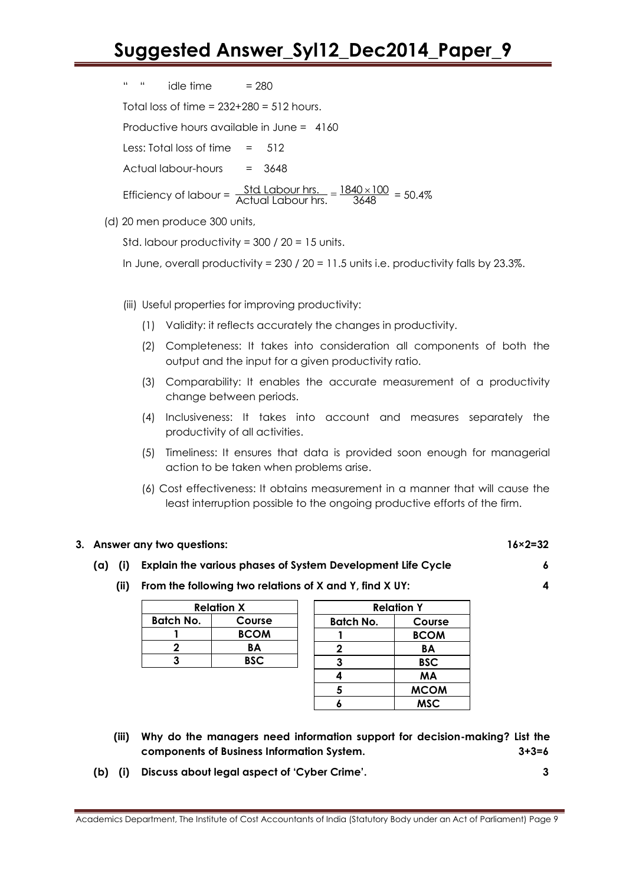| $\mathbf{H}^{\prime}$ , $\mathbf{H}^{\prime}$ , and | $idle time = 280$                           |                                                                                                                                                              |
|-----------------------------------------------------|---------------------------------------------|--------------------------------------------------------------------------------------------------------------------------------------------------------------|
|                                                     | Total loss of time = $232+280 = 512$ hours. |                                                                                                                                                              |
|                                                     |                                             | Productive hours available in June = $4160$                                                                                                                  |
|                                                     | Less: Total loss of time $= 512$            |                                                                                                                                                              |
|                                                     | Actual labour-hours $= 3648$                |                                                                                                                                                              |
|                                                     |                                             | Efficiency of labour = $\frac{\text{Std} \text{ Labor} \text{ hrs.}}{\text{Actual} \text{ Laboratory} \text{ hrs.}} = \frac{1840 \times 100}{3648} = 50.4\%$ |

(d) 20 men produce 300 units,

Std. labour productivity = 300 / 20 = 15 units.

In June, overall productivity =  $230 / 20 = 11.5$  units i.e. productivity falls by  $23.3\%$ .

- (iii) Useful properties for improving productivity:
	- (1) Validity: it reflects accurately the changes in productivity.
	- (2) Completeness: It takes into consideration all components of both the output and the input for a given productivity ratio.
	- (3) Comparability: It enables the accurate measurement of a productivity change between periods.
	- (4) Inclusiveness: It takes into account and measures separately the productivity of all activities.
	- (5) Timeliness: It ensures that data is provided soon enough for managerial action to be taken when problems arise.
	- (6) Cost effectiveness: It obtains measurement in a manner that will cause the least interruption possible to the ongoing productive efforts of the firm.

#### **3. Answer any two questions: 16×2=32**

### **(a) (i) Explain the various phases of System Development Life Cycle 6**

**(ii) From the following two relations of X and Y, find X UY: 4**

| <b>Relation X</b> |             |  |  |
|-------------------|-------------|--|--|
| Batch No.         | Course      |  |  |
|                   | <b>BCOM</b> |  |  |
|                   | BА          |  |  |
|                   | <b>BSC</b>  |  |  |
|                   |             |  |  |

| <b>Relation Y</b> |             |  |
|-------------------|-------------|--|
| <b>Batch No.</b>  | Course      |  |
|                   | <b>BCOM</b> |  |
| 2                 | ΒA          |  |
| 3                 | <b>BSC</b>  |  |
| 4                 | <b>MA</b>   |  |
| 5                 | <b>MCOM</b> |  |
| Á                 | <b>MSC</b>  |  |

- **(iii) Why do the managers need information support for decision-making? List the components of Business Information System. 3+3=6**
- **(b) (i) Discuss about legal aspect of "Cyber Crime". 3**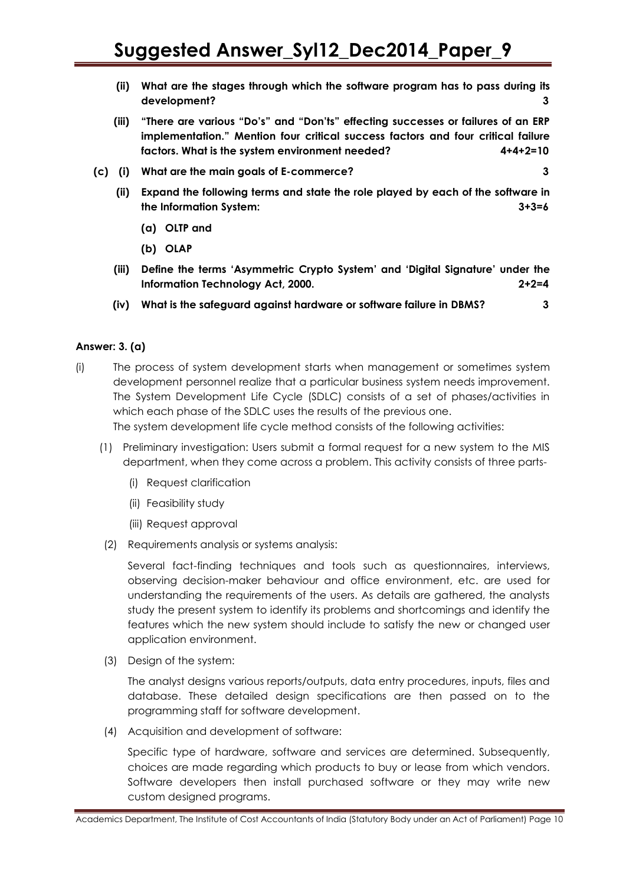- **(ii) What are the stages through which the software program has to pass during its development? 3**
- **(iii) "There are various "Do"s" and "Don"ts" effecting successes or failures of an ERP implementation." Mention four critical success factors and four critical failure factors. What is the system environment needed? 4+4+2=10**
- **(c) (i) What are the main goals of E-commerce? 3**
	- **(ii) Expand the following terms and state the role played by each of the software in the Information System: 3+3=6**
		- **(a) OLTP and**
		- **(b) OLAP**
	- **(iii) Define the terms "Asymmetric Crypto System" and "Digital Signature" under the Information Technology Act, 2000. 2+2=4**
	- **(iv) What is the safeguard against hardware or software failure in DBMS? 3**

#### **Answer: 3. (a)**

(i) The process of system development starts when management or sometimes system development personnel realize that a particular business system needs improvement. The System Development Life Cycle (SDLC) consists of a set of phases/activities in which each phase of the SDLC uses the results of the previous one.

The system development life cycle method consists of the following activities:

- (1) Preliminary investigation: Users submit a formal request for a new system to the MIS department, when they come across a problem. This activity consists of three parts-
	- (i) Request clarification
	- (ii) Feasibility study
	- (iii) Request approval
- (2) Requirements analysis or systems analysis:

Several fact-finding techniques and tools such as questionnaires, interviews, observing decision-maker behaviour and office environment, etc. are used for understanding the requirements of the users. As details are gathered, the analysts study the present system to identify its problems and shortcomings and identify the features which the new system should include to satisfy the new or changed user application environment.

(3) Design of the system:

The analyst designs various reports/outputs, data entry procedures, inputs, files and database. These detailed design specifications are then passed on to the programming staff for software development.

(4) Acquisition and development of software:

Specific type of hardware, software and services are determined. Subsequently, choices are made regarding which products to buy or lease from which vendors. Software developers then install purchased software or they may write new custom designed programs.

Academics Department, The Institute of Cost Accountants of India (Statutory Body under an Act of Parliament) Page 10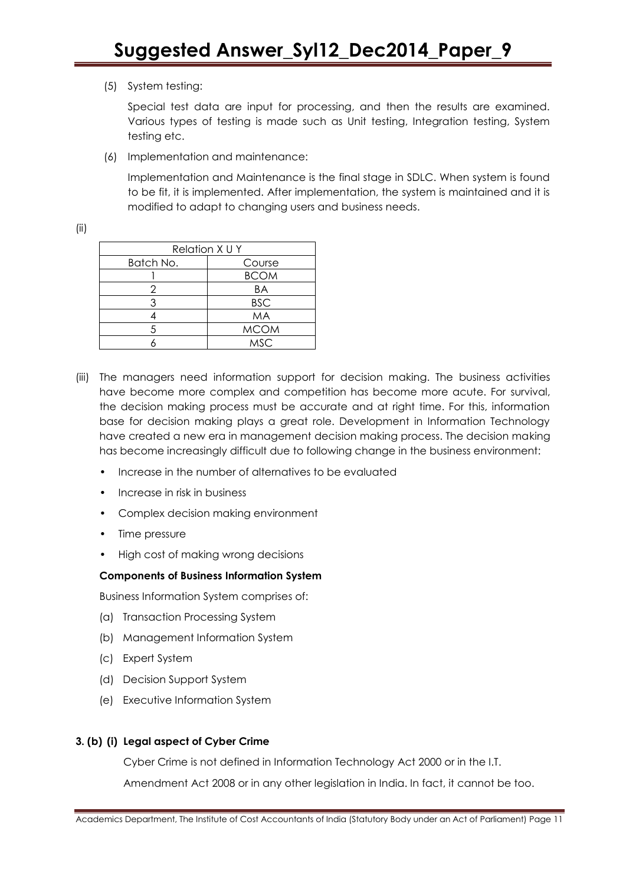(5) System testing:

Special test data are input for processing, and then the results are examined. Various types of testing is made such as Unit testing, Integration testing, System testing etc.

(6) Implementation and maintenance:

Implementation and Maintenance is the final stage in SDLC. When system is found to be fit, it is implemented. After implementation, the system is maintained and it is modified to adapt to changing users and business needs.

(ii)

| Relation X U Y |             |
|----------------|-------------|
| Batch No.      | Course      |
|                | <b>BCOM</b> |
| ソ              | ΒA          |
|                | <b>BSC</b>  |
|                | MA          |
| 5              | <b>MCOM</b> |
|                | <b>MSC</b>  |

- (iii) The managers need information support for decision making. The business activities have become more complex and competition has become more acute. For survival, the decision making process must be accurate and at right time. For this, information base for decision making plays a great role. Development in Information Technology have created a new era in management decision making process. The decision making has become increasingly difficult due to following change in the business environment:
	- Increase in the number of alternatives to be evaluated
	- Increase in risk in business
	- Complex decision making environment
	- Time pressure
	- High cost of making wrong decisions

#### **Components of Business Information System**

Business Information System comprises of:

- (a) Transaction Processing System
- (b) Management Information System
- (c) Expert System
- (d) Decision Support System
- (e) Executive Information System

### **3. (b) (i) Legal aspect of Cyber Crime**

Cyber Crime is not defined in Information Technology Act 2000 or in the I.T.

Amendment Act 2008 or in any other legislation in India. In fact, it cannot be too.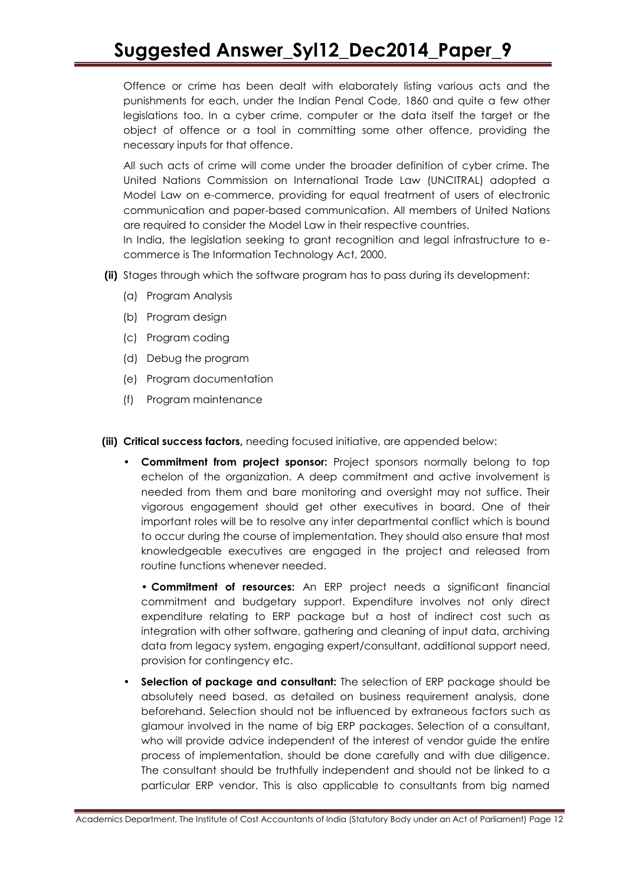Offence or crime has been dealt with elaborately listing various acts and the punishments for each, under the Indian Penal Code, 1860 and quite a few other legislations too. In a cyber crime, computer or the data itself the target or the object of offence or a tool in committing some other offence, providing the necessary inputs for that offence.

All such acts of crime will come under the broader definition of cyber crime. The United Nations Commission on International Trade Law (UNCITRAL) adopted a Model Law on e-commerce, providing for equal treatment of users of electronic communication and paper-based communication. All members of United Nations are required to consider the Model Law in their respective countries.

In India, the legislation seeking to grant recognition and legal infrastructure to ecommerce is The Information Technology Act, 2000.

- **(ii)** Stages through which the software program has to pass during its development:
	- (a) Program Analysis
	- (b) Program design
	- (c) Program coding
	- (d) Debug the program
	- (e) Program documentation
	- (f) Program maintenance

**(iii) Critical success factors,** needing focused initiative, are appended below:

• **Commitment from project sponsor:** Project sponsors normally belong to top echelon of the organization. A deep commitment and active involvement is needed from them and bare monitoring and oversight may not suffice. Their vigorous engagement should get other executives in board. One of their important roles will be to resolve any inter departmental conflict which is bound to occur during the course of implementation. They should also ensure that most knowledgeable executives are engaged in the project and released from routine functions whenever needed.

• **Commitment of resources:** An ERP project needs a significant financial commitment and budgetary support. Expenditure involves not only direct expenditure relating to ERP package but a host of indirect cost such as integration with other software, gathering and cleaning of input data, archiving data from legacy system, engaging expert/consultant, additional support need, provision for contingency etc.

• **Selection of package and consultant:** The selection of ERP package should be absolutely need based, as detailed on business requirement analysis, done beforehand. Selection should not be influenced by extraneous factors such as glamour involved in the name of big ERP packages. Selection of a consultant, who will provide advice independent of the interest of vendor guide the entire process of implementation, should be done carefully and with due diligence. The consultant should be truthfully independent and should not be linked to a particular ERP vendor. This is also applicable to consultants from big named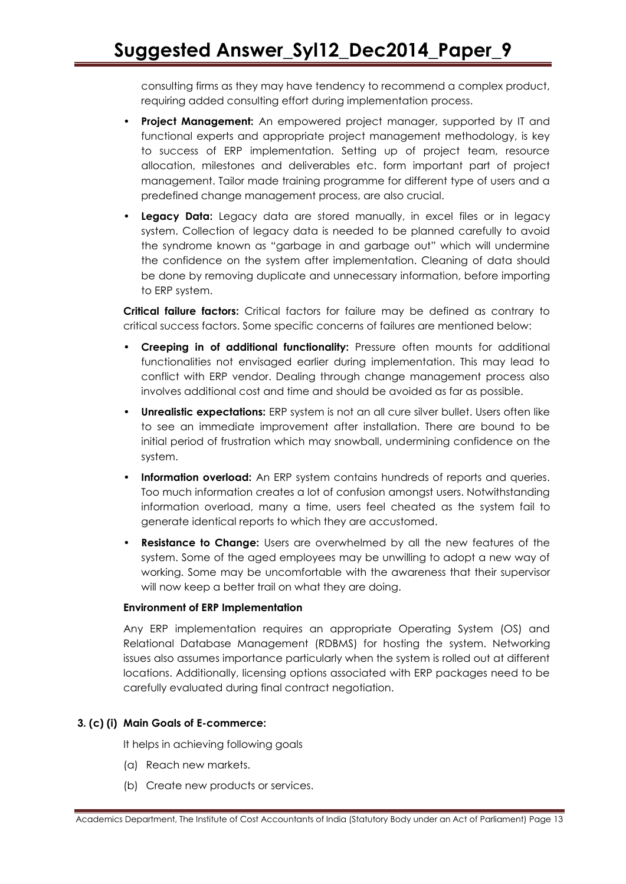consulting firms as they may have tendency to recommend a complex product, requiring added consulting effort during implementation process.

- **Project Management:** An empowered project manager, supported by IT and functional experts and appropriate project management methodology, is key to success of ERP implementation. Setting up of project team, resource allocation, milestones and deliverables etc. form important part of project management. Tailor made training programme for different type of users and a predefined change management process, are also crucial.
- **Legacy Data:** Legacy data are stored manually, in excel files or in legacy system. Collection of legacy data is needed to be planned carefully to avoid the syndrome known as "garbage in and garbage out" which will undermine the confidence on the system after implementation. Cleaning of data should be done by removing duplicate and unnecessary information, before importing to ERP system.

**Critical failure factors:** Critical factors for failure may be defined as contrary to critical success factors. Some specific concerns of failures are mentioned below:

- **Creeping in of additional functionality:** Pressure often mounts for additional functionalities not envisaged earlier during implementation. This may lead to conflict with ERP vendor. Dealing through change management process also involves additional cost and time and should be avoided as far as possible.
- **Unrealistic expectations:** ERP system is not an all cure silver bullet. Users often like to see an immediate improvement after installation. There are bound to be initial period of frustration which may snowball, undermining confidence on the system.
- **Information overload:** An ERP system contains hundreds of reports and queries. Too much information creates a lot of confusion amongst users. Notwithstanding information overload, many a time, users feel cheated as the system fail to generate identical reports to which they are accustomed.
- **Resistance to Change:** Users are overwhelmed by all the new features of the system. Some of the aged employees may be unwilling to adopt a new way of working. Some may be uncomfortable with the awareness that their supervisor will now keep a better trail on what they are doing.

#### **Environment of ERP Implementation**

Any ERP implementation requires an appropriate Operating System (OS) and Relational Database Management (RDBMS) for hosting the system. Networking issues also assumes importance particularly when the system is rolled out at different locations. Additionally, licensing options associated with ERP packages need to be carefully evaluated during final contract negotiation.

#### **3. (c) (i) Main Goals of E-commerce:**

It helps in achieving following goals

- (a) Reach new markets.
- (b) Create new products or services.

Academics Department, The Institute of Cost Accountants of India (Statutory Body under an Act of Parliament) Page 13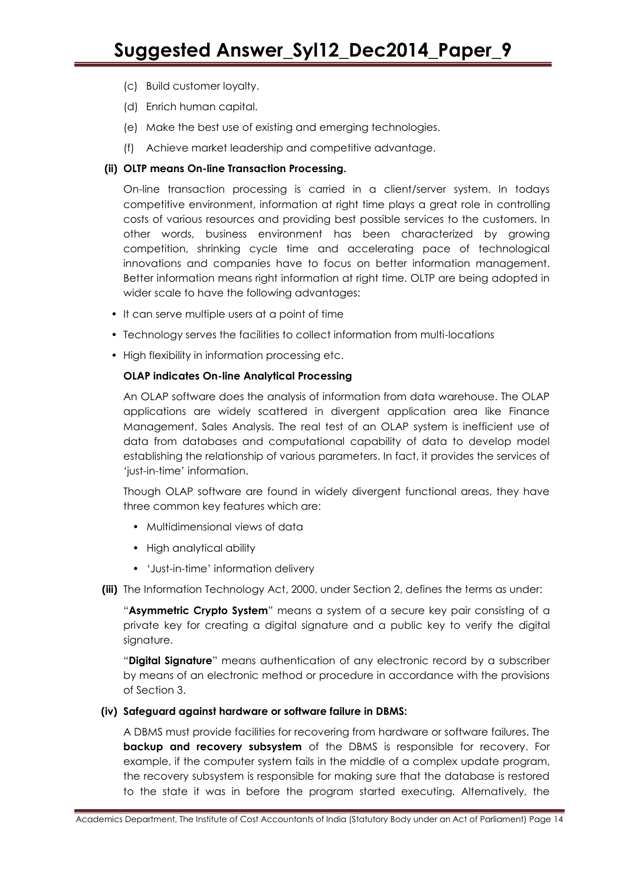- (c) Build customer loyalty.
- (d) Enrich human capital.
- (e) Make the best use of existing and emerging technologies.
- (f) Achieve market leadership and competitive advantage.

#### **(ii) OLTP means On-line Transaction Processing.**

On-line transaction processing is carried in a client/server system. In todays competitive environment, information at right time plays a great role in controlling costs of various resources and providing best possible services to the customers. In other words, business environment has been characterized by growing competition, shrinking cycle time and accelerating pace of technological innovations and companies have to focus on better information management. Better information means right information at right time. OLTP are being adopted in wider scale to have the following advantages:

- It can serve multiple users at a point of time
- Technology serves the facilities to collect information from multi-locations
- High flexibility in information processing etc.

#### **OLAP indicates On-line Analytical Processing**

An OLAP software does the analysis of information from data warehouse. The OLAP applications are widely scattered in divergent application area like Finance Management, Sales Analysis. The real test of an OLAP system is inefficient use of data from databases and computational capability of data to develop model establishing the relationship of various parameters. In fact, it provides the services of ‗just-in-time' information.

Though OLAP software are found in widely divergent functional areas, they have three common key features which are:

- Multidimensional views of data
- High analytical ability
- ‗Just-in-time' information delivery
- **(iii)** The Information Technology Act, 2000, under Section 2, defines the terms as under:

―**Asymmetric Crypto System**‖ means a system of a secure key pair consisting of a private key for creating a digital signature and a public key to verify the digital signature.

―**Digital Signature**‖ means authentication of any electronic record by a subscriber by means of an electronic method or procedure in accordance with the provisions of Section 3.

#### **(iv) Safeguard against hardware or software failure in DBMS:**

A DBMS must provide facilities for recovering from hardware or software failures. The **backup and recovery subsystem** of the DBMS is responsible for recovery. For example, if the computer system fails in the middle of a complex update program, the recovery subsystem is responsible for making sure that the database is restored to the state it was in before the program started executing. Alternatively, the